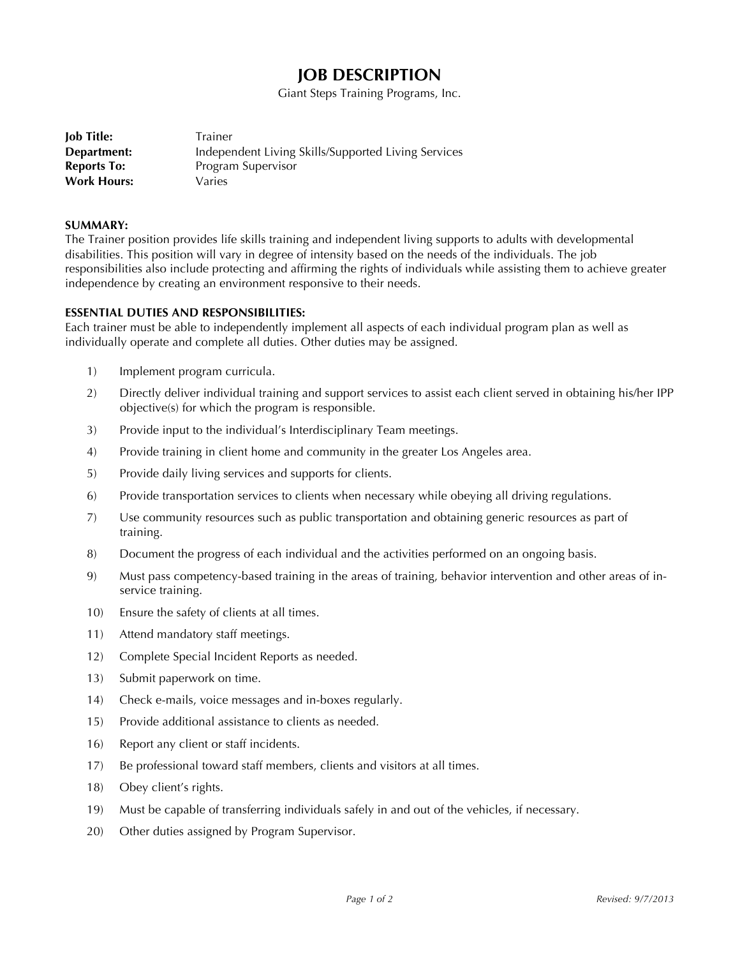# **JOB DESCRIPTION**

Giant Steps Training Programs, Inc.

| Trainer                                             |
|-----------------------------------------------------|
| Independent Living Skills/Supported Living Services |
| Program Supervisor                                  |
| Varies                                              |
|                                                     |

#### **SUMMARY:**

The Trainer position provides life skills training and independent living supports to adults with developmental disabilities. This position will vary in degree of intensity based on the needs of the individuals. The job responsibilities also include protecting and affirming the rights of individuals while assisting them to achieve greater independence by creating an environment responsive to their needs.

## **ESSENTIAL DUTIES AND RESPONSIBILITIES:**

Each trainer must be able to independently implement all aspects of each individual program plan as well as individually operate and complete all duties. Other duties may be assigned.

- 1) Implement program curricula.
- 2) Directly deliver individual training and support services to assist each client served in obtaining his/her IPP objective(s) for which the program is responsible.
- 3) Provide input to the individual's Interdisciplinary Team meetings.
- 4) Provide training in client home and community in the greater Los Angeles area.
- 5) Provide daily living services and supports for clients.
- 6) Provide transportation services to clients when necessary while obeying all driving regulations.
- 7) Use community resources such as public transportation and obtaining generic resources as part of training.
- 8) Document the progress of each individual and the activities performed on an ongoing basis.
- 9) Must pass competency-based training in the areas of training, behavior intervention and other areas of inservice training.
- 10) Ensure the safety of clients at all times.
- 11) Attend mandatory staff meetings.
- 12) Complete Special Incident Reports as needed.
- 13) Submit paperwork on time.
- 14) Check e-mails, voice messages and in-boxes regularly.
- 15) Provide additional assistance to clients as needed.
- 16) Report any client or staff incidents.
- 17) Be professional toward staff members, clients and visitors at all times.
- 18) Obey client's rights.
- 19) Must be capable of transferring individuals safely in and out of the vehicles, if necessary.
- 20) Other duties assigned by Program Supervisor.